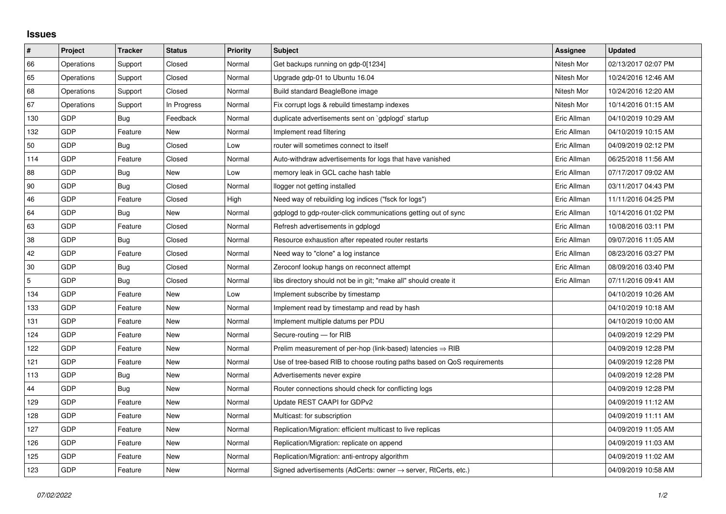## **Issues**

| $\pmb{\#}$     | Project    | <b>Tracker</b> | <b>Status</b> | <b>Priority</b> | <b>Subject</b>                                                             | Assignee    | <b>Updated</b>      |
|----------------|------------|----------------|---------------|-----------------|----------------------------------------------------------------------------|-------------|---------------------|
| 66             | Operations | Support        | Closed        | Normal          | Get backups running on gdp-0[1234]                                         | Nitesh Mor  | 02/13/2017 02:07 PM |
| 65             | Operations | Support        | Closed        | Normal          | Upgrade gdp-01 to Ubuntu 16.04                                             | Nitesh Mor  | 10/24/2016 12:46 AM |
| 68             | Operations | Support        | Closed        | Normal          | Build standard BeagleBone image                                            | Nitesh Mor  | 10/24/2016 12:20 AM |
| 67             | Operations | Support        | In Progress   | Normal          | Fix corrupt logs & rebuild timestamp indexes                               | Nitesh Mor  | 10/14/2016 01:15 AM |
| 130            | <b>GDP</b> | Bug            | Feedback      | Normal          | duplicate advertisements sent on `gdplogd` startup                         | Eric Allman | 04/10/2019 10:29 AM |
| 132            | <b>GDP</b> | Feature        | <b>New</b>    | Normal          | Implement read filtering                                                   | Eric Allman | 04/10/2019 10:15 AM |
| 50             | <b>GDP</b> | Bug            | Closed        | Low             | router will sometimes connect to itself                                    | Eric Allman | 04/09/2019 02:12 PM |
| 114            | GDP        | Feature        | Closed        | Normal          | Auto-withdraw advertisements for logs that have vanished                   | Eric Allman | 06/25/2018 11:56 AM |
| 88             | <b>GDP</b> | Bug            | <b>New</b>    | Low             | memory leak in GCL cache hash table                                        | Eric Allman | 07/17/2017 09:02 AM |
| 90             | <b>GDP</b> | Bug            | Closed        | Normal          | llogger not getting installed                                              | Eric Allman | 03/11/2017 04:43 PM |
| 46             | <b>GDP</b> | Feature        | Closed        | High            | Need way of rebuilding log indices ("fsck for logs")                       | Eric Allman | 11/11/2016 04:25 PM |
| 64             | GDP        | Bug            | New           | Normal          | gdplogd to gdp-router-click communications getting out of sync             | Eric Allman | 10/14/2016 01:02 PM |
| 63             | <b>GDP</b> | Feature        | Closed        | Normal          | Refresh advertisements in gdplogd                                          | Eric Allman | 10/08/2016 03:11 PM |
| 38             | GDP        | Bug            | Closed        | Normal          | Resource exhaustion after repeated router restarts                         | Eric Allman | 09/07/2016 11:05 AM |
| 42             | <b>GDP</b> | Feature        | Closed        | Normal          | Need way to "clone" a log instance                                         | Eric Allman | 08/23/2016 03:27 PM |
| 30             | <b>GDP</b> | Bug            | Closed        | Normal          | Zeroconf lookup hangs on reconnect attempt                                 | Eric Allman | 08/09/2016 03:40 PM |
| $\overline{5}$ | GDP        | Bug            | Closed        | Normal          | libs directory should not be in git; "make all" should create it           | Eric Allman | 07/11/2016 09:41 AM |
| 134            | <b>GDP</b> | Feature        | New           | Low             | Implement subscribe by timestamp                                           |             | 04/10/2019 10:26 AM |
| 133            | <b>GDP</b> | Feature        | New           | Normal          | Implement read by timestamp and read by hash                               |             | 04/10/2019 10:18 AM |
| 131            | GDP        | Feature        | <b>New</b>    | Normal          | Implement multiple datums per PDU                                          |             | 04/10/2019 10:00 AM |
| 124            | GDP        | Feature        | New           | Normal          | Secure-routing - for RIB                                                   |             | 04/09/2019 12:29 PM |
| 122            | <b>GDP</b> | Feature        | <b>New</b>    | Normal          | Prelim measurement of per-hop (link-based) latencies $\Rightarrow$ RIB     |             | 04/09/2019 12:28 PM |
| 121            | GDP        | Feature        | New           | Normal          | Use of tree-based RIB to choose routing paths based on QoS requirements    |             | 04/09/2019 12:28 PM |
| 113            | <b>GDP</b> | Bug            | New           | Normal          | Advertisements never expire                                                |             | 04/09/2019 12:28 PM |
| 44             | <b>GDP</b> | Bug            | New           | Normal          | Router connections should check for conflicting logs                       |             | 04/09/2019 12:28 PM |
| 129            | GDP        | Feature        | New           | Normal          | Update REST CAAPI for GDPv2                                                |             | 04/09/2019 11:12 AM |
| 128            | <b>GDP</b> | Feature        | <b>New</b>    | Normal          | Multicast: for subscription                                                |             | 04/09/2019 11:11 AM |
| 127            | <b>GDP</b> | Feature        | <b>New</b>    | Normal          | Replication/Migration: efficient multicast to live replicas                |             | 04/09/2019 11:05 AM |
| 126            | GDP        | Feature        | <b>New</b>    | Normal          | Replication/Migration: replicate on append                                 |             | 04/09/2019 11:03 AM |
| 125            | GDP        | Feature        | New           | Normal          | Replication/Migration: anti-entropy algorithm                              |             | 04/09/2019 11:02 AM |
| 123            | GDP        | Feature        | <b>New</b>    | Normal          | Signed advertisements (AdCerts: owner $\rightarrow$ server, RtCerts, etc.) |             | 04/09/2019 10:58 AM |